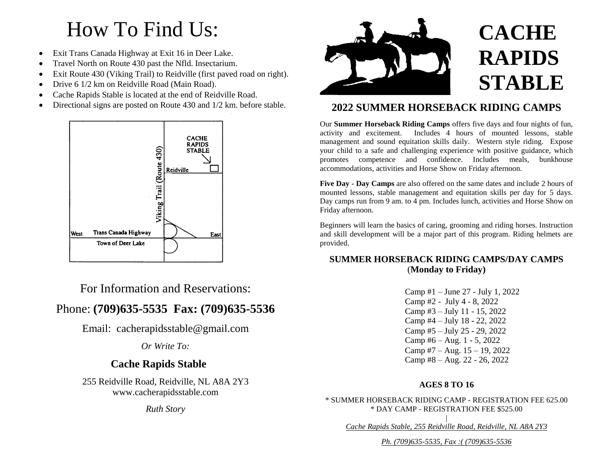# How To Find Us:

- Exit Trans Canada Highway at Exit 16 in Deer Lake.
- Travel North on Route 430 past the Nfld. Insectarium.
- Exit Route 430 (Viking Trail) to Reidville (first paved road on right).
- Drive 6 1/2 km on Reidville Road (Main Road).
- Cache Rapids Stable is located at the end of Reidville Road.
- Directional signs are posted on Route 430 and 1/2 km. before stable.



For Information and Reservations:

# Phone: **(709)635-5535 Fax: (709)635-5536**

Email: cacherapidsstable@gmail.com

*Or Write To:*

# **Cache Rapids Stable**

255 Reidville Road, Reidville, NL A8A 2Y3 www.cacherapidsstable.com

*Ruth Story*



## **2022 SUMMER HORSEBACK RIDING CAMPS**

Our **Summer Horseback Riding Camps** offers five days and four nights of fun, activity and excitement. Includes 4 hours of mounted lessons, stable management and sound equitation skills daily. Western style riding. Expose your child to a safe and challenging experience with positive guidance, which promotes competence and confidence. Includes meals, bunkhouse accommodations, activities and Horse Show on Friday afternoon.

**Five Day - Day Camps** are also offered on the same dates and include 2 hours of mounted lessons, stable management and equitation skills per day for 5 days. Day camps run from 9 am. to 4 pm. Includes lunch, activities and Horse Show on Friday afternoon.

Beginners will learn the basics of caring, grooming and riding horses. Instruction and skill development will be a major part of this program. Riding helmets are provided.

## **SUMMER HORSEBACK RIDING CAMPS/DAY CAMPS** (**Monday to Friday)**

Camp #1 – June 27 - July 1, 2022 Camp #2 - July 4 - 8, 2022 Camp #3 – July 11 - 15, 2022 Camp #4 – July 18 - 22, 2022 Camp #5 – July 25 - 29, 2022 Camp #6 – Aug. 1 - 5, 2022 Camp #7 – Aug. 15 – 19, 2022 Camp #8 – Aug. 22 - 26, 2022

## **AGES 8 TO 16**

\* SUMMER HORSEBACK RIDING CAMP - REGISTRATION FEE 625.00 \* DAY CAMP - REGISTRATION FEE \$525.00

| *Cache Rapids Stable, 255 Reidville Road, Reidville, NL A8A 2Y3* 

*Ph. (709)635-5535, Fax :( (709)635-5536*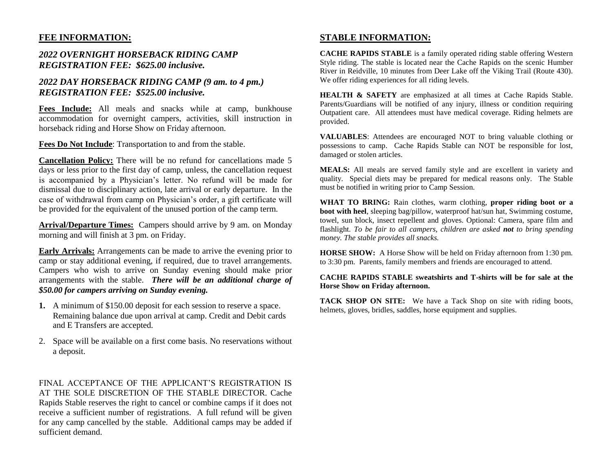## **FEE INFORMATION:**

## *2022 OVERNIGHT HORSEBACK RIDING CAMP REGISTRATION FEE: \$625.00 inclusive.*

## *2022 DAY HORSEBACK RIDING CAMP (9 am. to 4 pm.) REGISTRATION FEE: \$525.00 inclusive.*

**Fees Include:** All meals and snacks while at camp, bunkhouse accommodation for overnight campers, activities, skill instruction in horseback riding and Horse Show on Friday afternoon.

**Fees Do Not Include**: Transportation to and from the stable.

**Cancellation Policy:** There will be no refund for cancellations made 5 days or less prior to the first day of camp, unless, the cancellation request is accompanied by a Physician's letter. No refund will be made for dismissal due to disciplinary action, late arrival or early departure. In the case of withdrawal from camp on Physician's order, a gift certificate will be provided for the equivalent of the unused portion of the camp term.

**Arrival/Departure Times:** Campers should arrive by 9 am. on Monday morning and will finish at 3 pm. on Friday.

**Early Arrivals:** Arrangements can be made to arrive the evening prior to camp or stay additional evening, if required, due to travel arrangements. Campers who wish to arrive on Sunday evening should make prior arrangements with the stable. *There will be an additional charge of \$50.00 for campers arriving on Sunday evening.*

- **1.** A minimum of \$150.00 deposit for each session to reserve a space. Remaining balance due upon arrival at camp. Credit and Debit cards and E Transfers are accepted.
- 2. Space will be available on a first come basis. No reservations without a deposit.

FINAL ACCEPTANCE OF THE APPLICANT'S REGISTRATION IS AT THE SOLE DISCRETION OF THE STABLE DIRECTOR. Cache Rapids Stable reserves the right to cancel or combine camps if it does not receive a sufficient number of registrations. A full refund will be given for any camp cancelled by the stable. Additional camps may be added if sufficient demand.

## **STABLE INFORMATION:**

**CACHE RAPIDS STABLE** is a family operated riding stable offering Western Style riding. The stable is located near the Cache Rapids on the scenic Humber River in Reidville, 10 minutes from Deer Lake off the Viking Trail (Route 430). We offer riding experiences for all riding levels.

**HEALTH & SAFETY** are emphasized at all times at Cache Rapids Stable. Parents/Guardians will be notified of any injury, illness or condition requiring Outpatient care. All attendees must have medical coverage. Riding helmets are provided.

**VALUABLES**: Attendees are encouraged NOT to bring valuable clothing or possessions to camp. Cache Rapids Stable can NOT be responsible for lost, damaged or stolen articles.

**MEALS:** All meals are served family style and are excellent in variety and quality. Special diets may be prepared for medical reasons only. The Stable must be notified in writing prior to Camp Session.

**WHAT TO BRING:** Rain clothes, warm clothing, **proper riding boot or a boot with heel**, sleeping bag/pillow, waterproof hat/sun hat, Swimming costume, towel, sun block, insect repellent and gloves. Optional: Camera, spare film and flashlight*. To be fair to all campers, children are asked not to bring spending money. The stable provides all snacks.*

**HORSE SHOW:** A Horse Show will be held on Friday afternoon from 1:30 pm. to 3:30 pm. Parents, family members and friends are encouraged to attend.

#### **CACHE RAPIDS STABLE sweatshirts and T-shirts will be for sale at the Horse Show on Friday afternoon.**

**TACK SHOP ON SITE:** We have a Tack Shop on site with riding boots, helmets, gloves, bridles, saddles, horse equipment and supplies.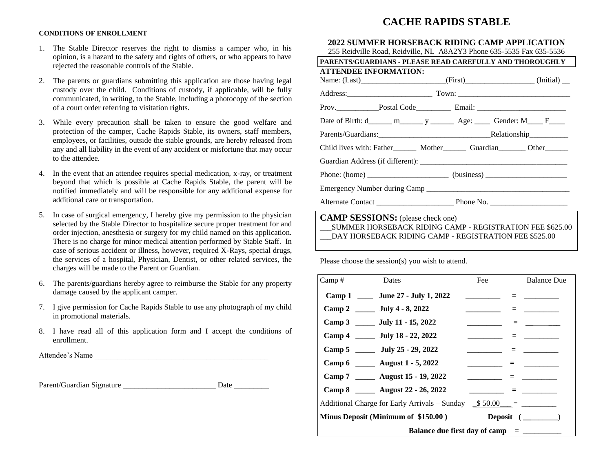## **CACHE RAPIDS STABLE**

#### **CONDITIONS OF ENROLLMENT**

- 1. The Stable Director reserves the right to dismiss a camper who, in his opinion, is a hazard to the safety and rights of others, or who appears to have rejected the reasonable controls of the Stable.
- 2. The parents or guardians submitting this application are those having legal custody over the child. Conditions of custody, if applicable, will be fully communicated, in writing, to the Stable, including a photocopy of the section of a court order referring to visitation rights.
- 3. While every precaution shall be taken to ensure the good welfare and protection of the camper, Cache Rapids Stable, its owners, staff members, employees, or facilities, outside the stable grounds, are hereby released from any and all liability in the event of any accident or misfortune that may occur to the attendee.
- 4. In the event that an attendee requires special medication, x-ray, or treatment beyond that which is possible at Cache Rapids Stable, the parent will be notified immediately and will be responsible for any additional expense for additional care or transportation.
- 5. In case of surgical emergency, I hereby give my permission to the physician selected by the Stable Director to hospitalize secure proper treatment for and order injection, anesthesia or surgery for my child named on this application. There is no charge for minor medical attention performed by Stable Staff. In case of serious accident or illness, however, required X-Rays, special drugs, the services of a hospital, Physician, Dentist, or other related services, the charges will be made to the Parent or Guardian.
- 6. The parents/guardians hereby agree to reimburse the Stable for any property damage caused by the applicant camper.
- 7. I give permission for Cache Rapids Stable to use any photograph of my child in promotional materials.
- 8. I have read all of this application form and I accept the conditions of enrollment.

Attendee's Name

Parent/Guardian Signature Letter and Date Date

#### **2022 SUMMER HORSEBACK RIDING CAMP APPLICATION** 255 Reidville Road, Reidville, NL A8A2Y3 Phone 635-5535 Fax 635-5536

| 233 Neigvine Noag, Neigvine, NL AOA2 I 3 Filolle 033-3333 Fax 033-3330            |  |  |  |  |
|-----------------------------------------------------------------------------------|--|--|--|--|
| <b>PARENTS/GUARDIANS - PLEASE READ CAREFULLY AND THOROUGHLY</b>                   |  |  |  |  |
| <b>ATTENDEE INFORMATION:</b>                                                      |  |  |  |  |
| Name: (Last)___________________________(First)______________________(Initial)__   |  |  |  |  |
|                                                                                   |  |  |  |  |
|                                                                                   |  |  |  |  |
|                                                                                   |  |  |  |  |
|                                                                                   |  |  |  |  |
| Child lives with: Father Mother Guardian Other                                    |  |  |  |  |
|                                                                                   |  |  |  |  |
| Phone: (home) ____________________________ (business) ___________________________ |  |  |  |  |
|                                                                                   |  |  |  |  |
|                                                                                   |  |  |  |  |
|                                                                                   |  |  |  |  |

**CAMP SESSIONS:** (please check one) \_\_\_SUMMER HORSEBACK RIDING CAMP - REGISTRATION FEE \$625.00 DAY HORSEBACK RIDING CAMP - REGISTRATION FEE \$525.00

Please choose the session(s) you wish to attend.

| $\frac{Camp#}{}$<br><b>Dates</b>                                      | Fee | <b>Balance Due</b> |  |
|-----------------------------------------------------------------------|-----|--------------------|--|
| Camp 1 _____ June 27 - July 1, 2022                                   |     |                    |  |
| Camp 2 ______ July 4 - 8, 2022                                        |     |                    |  |
| Camp 3 ______ July 11 - 15, 2022                                      |     |                    |  |
| Camp 4 ______ July 18 - 22, 2022                                      |     |                    |  |
| Camp 5 _______ July 25 - 29, 2022                                     |     |                    |  |
| Camp 6 _______ August 1 - 5, 2022                                     |     |                    |  |
| Camp 7 _______ August 15 - 19, 2022                                   |     |                    |  |
| Camp 8 _______ August 22 - 26, 2022                                   |     |                    |  |
| Additional Charge for Early Arrivals – Sunday $\frac{\$ 50.00}{\$}$ = |     |                    |  |
| Minus Deposit (Minimum of \$150.00)                                   |     | Deposit $(\_\_$    |  |
| Balance due first day of camp $=$ $\equiv$                            |     |                    |  |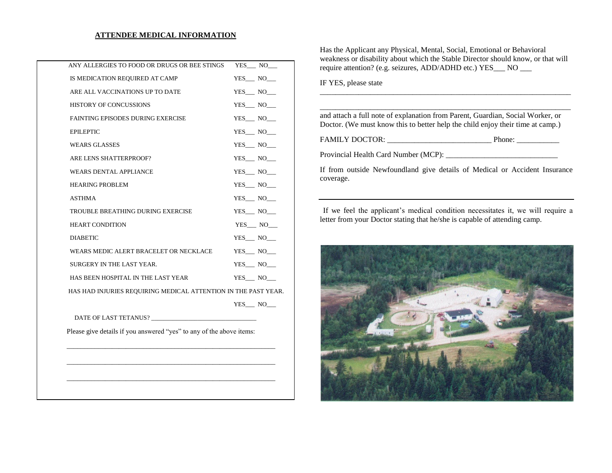#### **ATTENDEE MEDICAL INFORMATION**

| ANY ALLERGIES TO FOOD OR DRUGS OR BEE STINGS                         |  | YES NO     |
|----------------------------------------------------------------------|--|------------|
| IS MEDICATION REQUIRED AT CAMP                                       |  | YES NO     |
| ARE ALL VACCINATIONS UP TO DATE                                      |  | YES NO     |
| <b>HISTORY OF CONCUSSIONS</b>                                        |  | YES NO     |
| <b>FAINTING EPISODES DURING EXERCISE</b>                             |  | YES NO     |
| <b>EPILEPTIC</b>                                                     |  | YES NO     |
| <b>WEARS GLASSES</b>                                                 |  | YES NO     |
| ARE LENS SHATTERPROOF?                                               |  | YES NO     |
| <b>WEARS DENTAL APPLIANCE</b>                                        |  | YES NO     |
| <b>HEARING PROBLEM</b>                                               |  | YES NO     |
| <b>ASTHMA</b>                                                        |  | YES NO     |
| TROUBLE BREATHING DURING EXERCISE                                    |  | YES NO     |
| <b>HEART CONDITION</b>                                               |  | $YES$ $NO$ |
| <b>DIABETIC</b>                                                      |  | YES NO     |
| WEARS MEDIC ALERT BRACELET OR NECKLACE                               |  | YES NO     |
| SURGERY IN THE LAST YEAR.                                            |  | YES NO     |
| HAS BEEN HOSPITAL IN THE LAST YEAR                                   |  | YES NO     |
| HAS HAD INJURIES REQUIRING MEDICAL ATTENTION IN THE PAST YEAR.       |  |            |
|                                                                      |  | YES NO     |
| DATE OF LAST TETANUS?                                                |  |            |
| Please give details if you answered "yes" to any of the above items: |  |            |

\_\_\_\_\_\_\_\_\_\_\_\_\_\_\_\_\_\_\_\_\_\_\_\_\_\_\_\_\_\_\_\_\_\_\_\_\_\_\_\_\_\_\_\_\_\_\_\_\_\_\_\_\_\_\_\_\_\_\_\_

\_\_\_\_\_\_\_\_\_\_\_\_\_\_\_\_\_\_\_\_\_\_\_\_\_\_\_\_\_\_\_\_\_\_\_\_\_\_\_\_\_\_\_\_\_\_\_\_\_\_\_\_\_\_\_\_\_\_\_\_

Has the Applicant any Physical, Mental, Social, Emotional or Behavioral weakness or disability about which the Stable Director should know, or that will require attention? (e.g. seizures, ADD/ADHD etc.) YES\_\_\_ NO \_\_\_

\_\_\_\_\_\_\_\_\_\_\_\_\_\_\_\_\_\_\_\_\_\_\_\_\_\_\_\_\_\_\_\_\_\_\_\_\_\_\_\_\_\_\_\_\_\_\_\_\_\_\_\_\_\_\_\_\_\_\_\_\_\_\_\_\_

IF YES, please state

\_\_\_\_\_\_\_\_\_\_\_\_\_\_\_\_\_\_\_\_\_\_\_\_\_\_\_\_\_\_\_\_\_\_\_\_\_\_\_\_\_\_\_\_\_\_\_\_\_\_\_\_\_\_\_\_\_\_\_\_\_\_\_\_\_ and attach a full note of explanation from Parent, Guardian, Social Worker, or Doctor. (We must know this to better help the child enjoy their time at camp.)

FAMILY DOCTOR: \_\_\_\_\_\_\_\_\_\_\_\_\_\_\_\_\_\_\_\_\_\_\_\_\_\_\_ Phone: \_\_\_\_\_\_\_\_\_\_\_

Provincial Health Card Number (MCP): \_\_\_\_\_\_\_\_\_\_\_\_\_\_\_\_\_\_\_\_\_\_\_\_\_\_\_\_\_

If from outside Newfoundland give details of Medical or Accident Insurance coverage.

If we feel the applicant's medical condition necessitates it, we will require a letter from your Doctor stating that he/she is capable of attending camp.

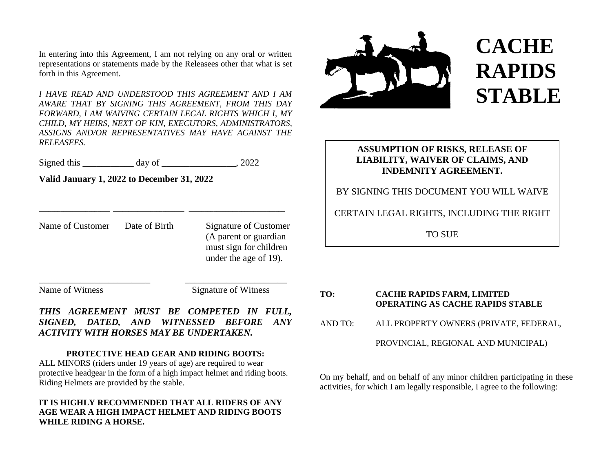In entering into this Agreement, I am not relying on any oral or written representations or statements made by the Releasees other that what is set forth in this Agreement.

*I HAVE READ AND UNDERSTOOD THIS AGREEMENT AND I AM AWARE THAT BY SIGNING THIS AGREEMENT, FROM THIS DAY FORWARD, I AM WAIVING CERTAIN LEGAL RIGHTS WHICH I, MY CHILD, MY HEIRS, NEXT OF KIN, EXECUTORS, ADMINISTRATORS, ASSIGNS AND/OR REPRESENTATIVES MAY HAVE AGAINST THE RELEASEES.*

Signed this \_\_\_\_\_\_\_\_\_\_\_ day of \_\_\_\_\_\_\_\_\_\_\_\_\_\_\_\_, 2022

 $\_$  , and the set of the set of the set of the set of the set of the set of the set of the set of the set of the set of the set of the set of the set of the set of the set of the set of the set of the set of the set of th

**Valid January 1, 2022 to December 31, 2022**

Name of Customer Date of Birth Signature of Customer

(A parent or guardian must sign for children under the age of 19).

Name of Witness Signature of Witness

*THIS AGREEMENT MUST BE COMPETED IN FULL, SIGNED, DATED, AND WITNESSED BEFORE ANY ACTIVITY WITH HORSES MAY BE UNDERTAKEN.*

\_\_\_\_\_\_\_\_\_\_\_\_\_\_\_\_\_\_\_\_\_\_\_\_ \_\_\_\_\_\_\_\_\_\_\_\_\_\_\_\_\_\_\_\_\_\_

## **PROTECTIVE HEAD GEAR AND RIDING BOOTS:**

ALL MINORS (riders under 19 years of age) are required to wear protective headgear in the form of a high impact helmet and riding boots. Riding Helmets are provided by the stable.

## **IT IS HIGHLY RECOMMENDED THAT ALL RIDERS OF ANY AGE WEAR A HIGH IMPACT HELMET AND RIDING BOOTS WHILE RIDING A HORSE.**



# **CACHE RAPIDS STABLE**

## **ASSUMPTION OF RISKS, RELEASE OF LIABILITY, WAIVER OF CLAIMS, AND INDEMNITY AGREEMENT.**

## BY SIGNING THIS DOCUMENT YOU WILL WAIVE

## CERTAIN LEGAL RIGHTS, INCLUDING THE RIGHT

TO SUE

**TO: CACHE RAPIDS FARM, LIMITED OPERATING AS CACHE RAPIDS STABLE** AND TO: ALL PROPERTY OWNERS (PRIVATE, FEDERAL, PROVINCIAL, REGIONAL AND MUNICIPAL)

On my behalf, and on behalf of any minor children participating in these activities, for which I am legally responsible, I agree to the following: